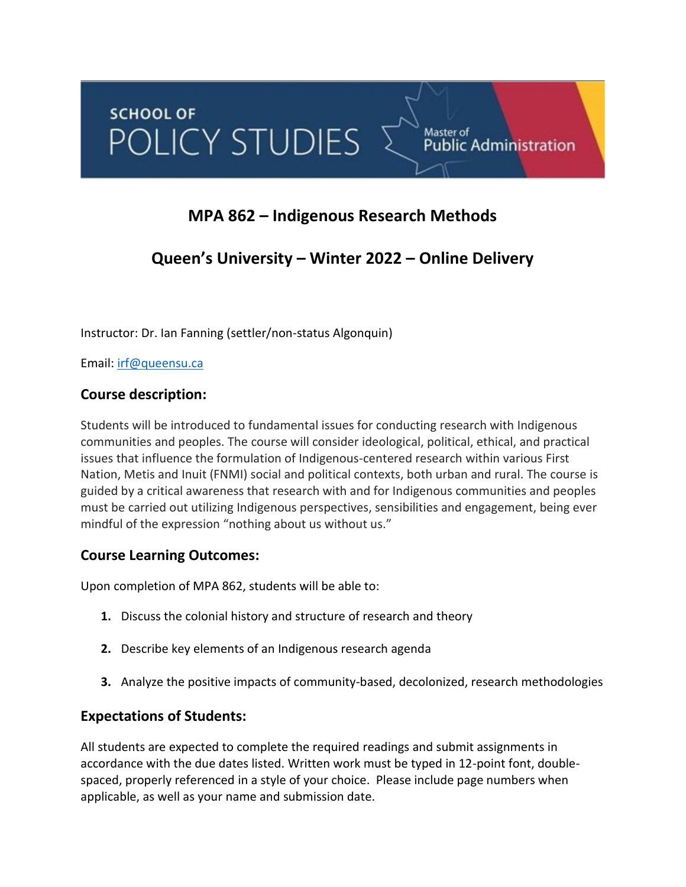# **MPA 862 – Indigenous Research Methods**

# **Queen's University – Winter 2022 – Online Delivery**

Instructor: Dr. Ian Fanning (settler/non-status Algonquin)

Email: [irf@queensu.ca](mailto:irf@queensu.ca)

# **Course description:**

Students will be introduced to fundamental issues for conducting research with Indigenous communities and peoples. The course will consider ideological, political, ethical, and practical issues that influence the formulation of Indigenous-centered research within various First Nation, Metis and Inuit (FNMI) social and political contexts, both urban and rural. The course is guided by a critical awareness that research with and for Indigenous communities and peoples must be carried out utilizing Indigenous perspectives, sensibilities and engagement, being ever mindful of the expression "nothing about us without us."

# **Course Learning Outcomes:**

Upon completion of MPA 862, students will be able to:

- **1.** Discuss the colonial history and structure of research and theory
- **2.** Describe key elements of an Indigenous research agenda
- **3.** Analyze the positive impacts of community-based, decolonized, research methodologies

# **Expectations of Students:**

All students are expected to complete the required readings and submit assignments in accordance with the due dates listed. Written work must be typed in 12-point font, doublespaced, properly referenced in a style of your choice. Please include page numbers when applicable, as well as your name and submission date.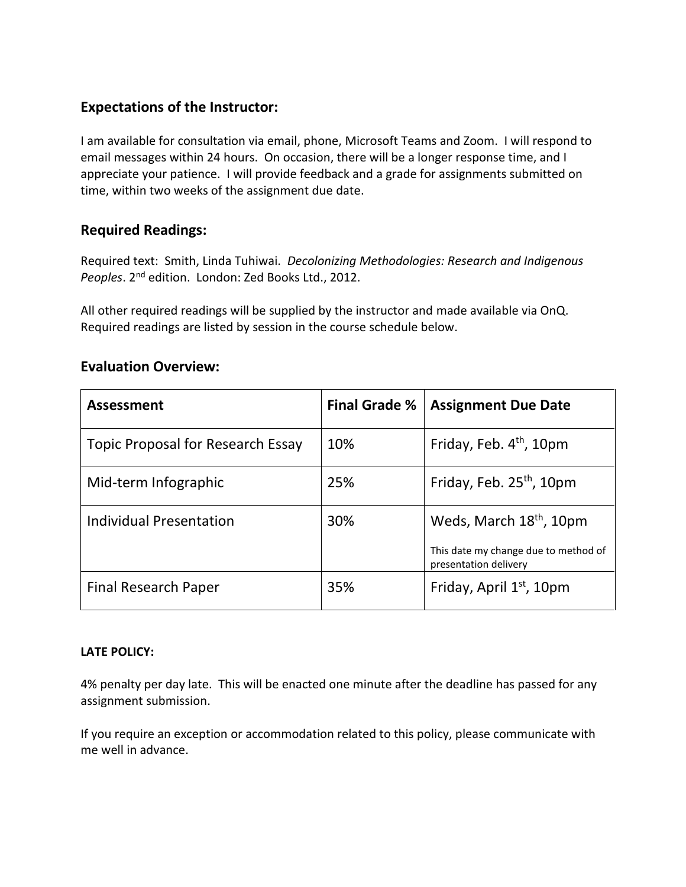# **Expectations of the Instructor:**

I am available for consultation via email, phone, Microsoft Teams and Zoom. I will respond to email messages within 24 hours. On occasion, there will be a longer response time, and I appreciate your patience. I will provide feedback and a grade for assignments submitted on time, within two weeks of the assignment due date.

# **Required Readings:**

Required text: Smith, Linda Tuhiwai. *Decolonizing Methodologies: Research and Indigenous Peoples*. 2nd edition. London: Zed Books Ltd., 2012.

All other required readings will be supplied by the instructor and made available via OnQ. Required readings are listed by session in the course schedule below.

## **Evaluation Overview:**

| <b>Assessment</b>                        | <b>Final Grade %</b> | <b>Assignment Due Date</b>                                    |
|------------------------------------------|----------------------|---------------------------------------------------------------|
| <b>Topic Proposal for Research Essay</b> | 10%                  | Friday, Feb. $4th$ , 10pm                                     |
| Mid-term Infographic                     | 25%                  | Friday, Feb. 25 <sup>th</sup> , 10pm                          |
| <b>Individual Presentation</b>           | 30%                  | Weds, March 18 <sup>th</sup> , 10pm                           |
|                                          |                      | This date my change due to method of<br>presentation delivery |
| <b>Final Research Paper</b>              | 35%                  | Friday, April 1 <sup>st</sup> , 10pm                          |

## **LATE POLICY:**

4% penalty per day late. This will be enacted one minute after the deadline has passed for any assignment submission.

If you require an exception or accommodation related to this policy, please communicate with me well in advance.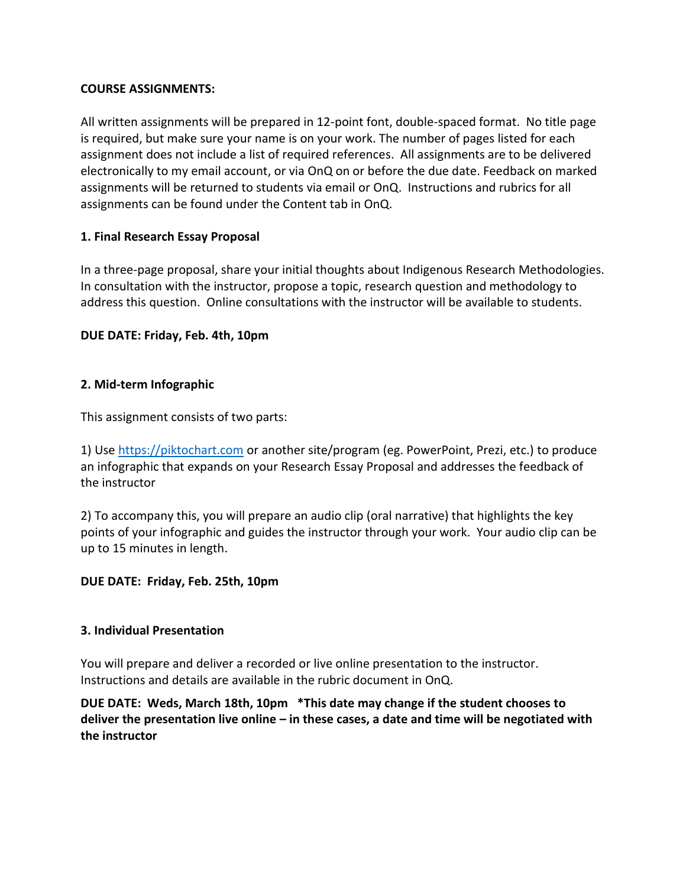#### **COURSE ASSIGNMENTS:**

All written assignments will be prepared in 12-point font, double-spaced format. No title page is required, but make sure your name is on your work. The number of pages listed for each assignment does not include a list of required references. All assignments are to be delivered electronically to my email account, or via OnQ on or before the due date. Feedback on marked assignments will be returned to students via email or OnQ. Instructions and rubrics for all assignments can be found under the Content tab in OnQ.

#### **1. Final Research Essay Proposal**

In a three-page proposal, share your initial thoughts about Indigenous Research Methodologies. In consultation with the instructor, propose a topic, research question and methodology to address this question. Online consultations with the instructor will be available to students.

#### **DUE DATE: Friday, Feb. 4th, 10pm**

#### **2. Mid-term Infographic**

This assignment consists of two parts:

1) Use [https://piktochart.com](https://piktochart.com/) or another site/program (eg. PowerPoint, Prezi, etc.) to produce an infographic that expands on your Research Essay Proposal and addresses the feedback of the instructor

2) To accompany this, you will prepare an audio clip (oral narrative) that highlights the key points of your infographic and guides the instructor through your work. Your audio clip can be up to 15 minutes in length.

#### **DUE DATE: Friday, Feb. 25th, 10pm**

#### **3. Individual Presentation**

You will prepare and deliver a recorded or live online presentation to the instructor. Instructions and details are available in the rubric document in OnQ.

**DUE DATE: Weds, March 18th, 10pm \*This date may change if the student chooses to deliver the presentation live online – in these cases, a date and time will be negotiated with the instructor**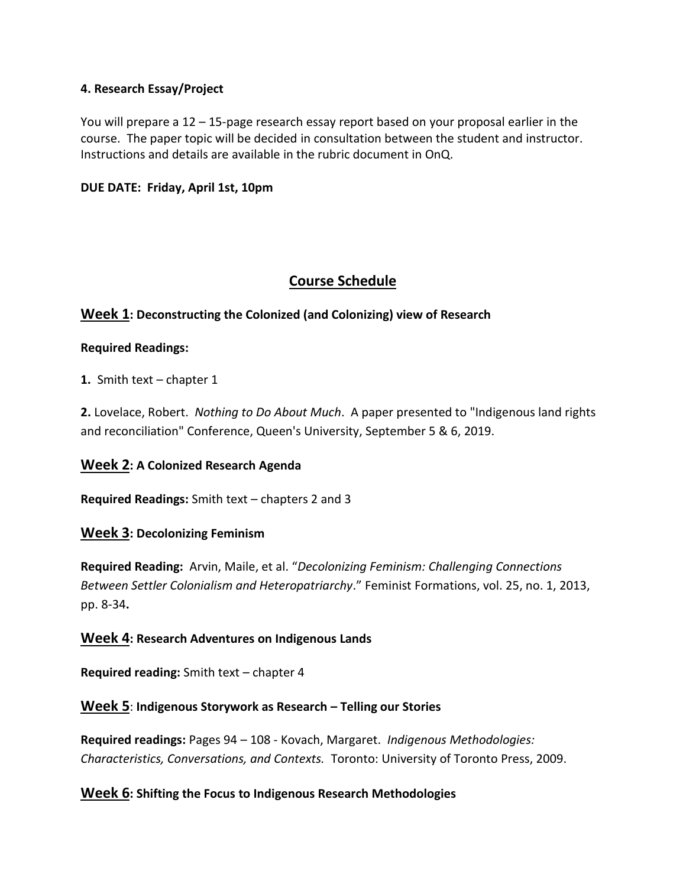#### **4. Research Essay/Project**

You will prepare a 12 – 15-page research essay report based on your proposal earlier in the course. The paper topic will be decided in consultation between the student and instructor. Instructions and details are available in the rubric document in OnQ.

#### **DUE DATE: Friday, April 1st, 10pm**

# **Course Schedule**

## **Week 1: Deconstructing the Colonized (and Colonizing) view of Research**

#### **Required Readings:**

**1.** Smith text – chapter 1

**2.** Lovelace, Robert. *Nothing to Do About Much*. A paper presented to "Indigenous land rights and reconciliation" Conference, Queen's University, September 5 & 6, 2019.

## **Week 2: A Colonized Research Agenda**

**Required Readings:** Smith text – chapters 2 and 3

## **Week 3: Decolonizing Feminism**

**Required Reading:** Arvin, Maile, et al. "*Decolonizing Feminism: Challenging Connections Between Settler Colonialism and Heteropatriarchy*." Feminist Formations, vol. 25, no. 1, 2013, pp. 8-34**.**

#### **Week 4: Research Adventures on Indigenous Lands**

**Required reading:** Smith text – chapter 4

#### **Week 5**: **Indigenous Storywork as Research – Telling our Stories**

**Required readings:** Pages 94 – 108 - Kovach, Margaret. *Indigenous Methodologies: Characteristics, Conversations, and Contexts.* Toronto: University of Toronto Press, 2009.

#### **Week 6: Shifting the Focus to Indigenous Research Methodologies**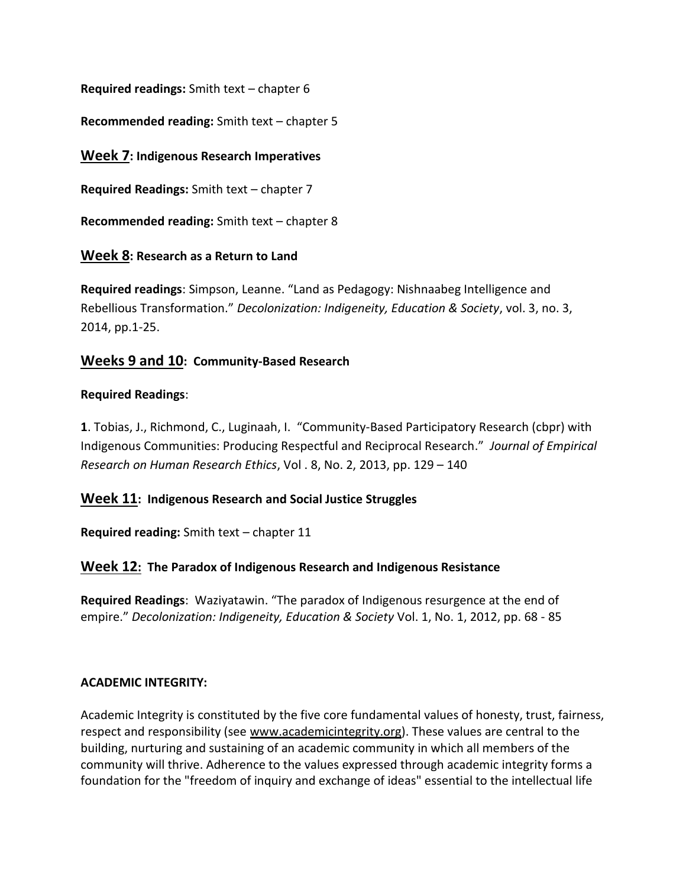**Required readings:** Smith text – chapter 6

**Recommended reading:** Smith text – chapter 5

## **Week 7: Indigenous Research Imperatives**

**Required Readings:** Smith text – chapter 7

**Recommended reading:** Smith text – chapter 8

## **Week 8: Research as a Return to Land**

**Required readings**: Simpson, Leanne. "Land as Pedagogy: Nishnaabeg Intelligence and Rebellious Transformation." *Decolonization: Indigeneity, Education & Society*, vol. 3, no. 3, 2014, pp.1-25.

## **Weeks 9 and 10: Community-Based Research**

#### **Required Readings**:

**1**. Tobias, J., Richmond, C., Luginaah, I. "Community-Based Participatory Research (cbpr) with Indigenous Communities: Producing Respectful and Reciprocal Research." *Journal of Empirical Research on Human Research Ethics*, Vol . 8, No. 2, 2013, pp. 129 – 140

## **Week 11: Indigenous Research and Social Justice Struggles**

**Required reading:** Smith text – chapter 11

## **Week 12: The Paradox of Indigenous Research and Indigenous Resistance**

**Required Readings**: Waziyatawin. "The paradox of Indigenous resurgence at the end of empire." *Decolonization: Indigeneity, Education & Society* Vol. 1, No. 1, 2012, pp. 68 - 85

#### **ACADEMIC INTEGRITY:**

Academic Integrity is constituted by the five core fundamental values of honesty, trust, fairness, respect and responsibility (see www.academicintegrity.org). These values are central to the building, nurturing and sustaining of an academic community in which all members of the community will thrive. Adherence to the values expressed through academic integrity forms a foundation for the "freedom of inquiry and exchange of ideas" essential to the intellectual life